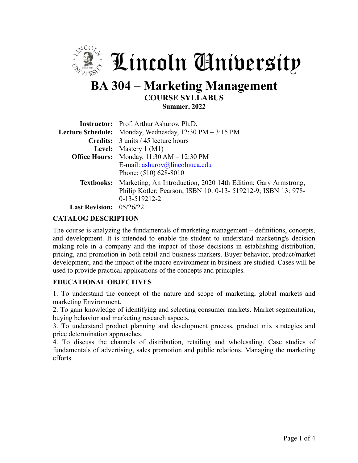

# **BA 304 – Marketing Management COURSE SYLLABUS Summer, 2022**

|                                                                    | <b>Instructor:</b> Prof. Arthur Ashurov, Ph.D.                                                                                                                 |  |  |  |
|--------------------------------------------------------------------|----------------------------------------------------------------------------------------------------------------------------------------------------------------|--|--|--|
|                                                                    | Lecture Schedule: Monday, Wednesday, 12:30 PM - 3:15 PM                                                                                                        |  |  |  |
|                                                                    | Credits: 3 units / 45 lecture hours                                                                                                                            |  |  |  |
|                                                                    | <b>Level:</b> Mastery $1 (M1)$                                                                                                                                 |  |  |  |
| <b>Office Hours:</b> Monday, $11:30 \text{ AM} - 12:30 \text{ PM}$ |                                                                                                                                                                |  |  |  |
|                                                                    | E-mail: ashurov@lincolnuca.edu<br>Phone: $(510)$ 628-8010                                                                                                      |  |  |  |
|                                                                    | Textbooks: Marketing, An Introduction, 2020 14th Edition; Gary Armstrong,<br>Philip Kotler; Pearson; ISBN 10: 0-13- 519212-9; ISBN 13: 978-<br>$0-13-519212-2$ |  |  |  |
| $\mathbf{L}_{\text{out}} \mathbf{D}_{\text{out}}$                  |                                                                                                                                                                |  |  |  |

**Last Revision:** 05/26/22

### **CATALOG DESCRIPTION**

The course is analyzing the fundamentals of marketing management – definitions, concepts, and development. It is intended to enable the student to understand marketing's decision making role in a company and the impact of those decisions in establishing distribution, pricing, and promotion in both retail and business markets. Buyer behavior, product/market development, and the impact of the macro environment in business are studied. Cases will be used to provide practical applications of the concepts and principles.

### **EDUCATIONAL OBJECTIVES**

1. To understand the concept of the nature and scope of marketing, global markets and marketing Environment.

2. To gain knowledge of identifying and selecting consumer markets. Market segmentation, buying behavior and marketing research aspects.

3. To understand product planning and development process, product mix strategies and price determination approaches.

4. To discuss the channels of distribution, retailing and wholesaling. Case studies of fundamentals of advertising, sales promotion and public relations. Managing the marketing efforts.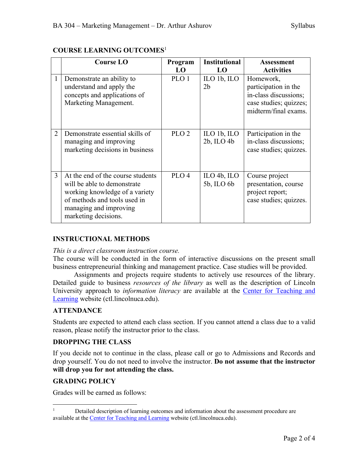|                | <b>Course LO</b>                                                                                                                                                                     | Program<br>LO    | <b>Institutional</b><br>LO                                        | <b>Assessment</b><br><b>Activities</b>                                                                       |
|----------------|--------------------------------------------------------------------------------------------------------------------------------------------------------------------------------------|------------------|-------------------------------------------------------------------|--------------------------------------------------------------------------------------------------------------|
| 1              | Demonstrate an ability to<br>understand and apply the<br>concepts and applications of<br>Marketing Management.                                                                       | PLO 1            | $\mathbb{L}$ O 1b, $\mathbb{L}$ O<br>2 <sub>b</sub>               | Homework,<br>participation in the<br>in-class discussions;<br>case studies; quizzes;<br>midterm/final exams. |
| $\overline{2}$ | Demonstrate essential skills of<br>managing and improving<br>marketing decisions in business                                                                                         | PLO <sub>2</sub> | $\mathbb{L}$ O 1b, $\mathbb{L}$ O<br>$2b$ , ILO $4b$              | Participation in the<br>in-class discussions;<br>case studies; quizzes.                                      |
| $\mathbf{3}$   | At the end of the course students<br>will be able to demonstrate<br>working knowledge of a variety<br>of methods and tools used in<br>managing and improving<br>marketing decisions. | PLO <sub>4</sub> | $\mathop{\mathrm{ILO}}$ 4b, $\mathop{\mathrm{ILO}}$<br>5b, ILO 6b | Course project<br>presentation, course<br>project report;<br>case studies; quizzes.                          |

## **COURSE LEARNING OUTCOMES**<sup>1</sup>

## **INSTRUCTIONAL METHODS**

#### *This is a direct classroom instruction course.*

The course will be conducted in the form of interactive discussions on the present small business entrepreneurial thinking and management practice. Case studies will be provided.

Assignments and projects require students to actively use resources of the library. Detailed guide to business *resources of the library* as well as the description of Lincoln University approach to *information literacy* are available at the Center for Teaching and Learning website (ctl.lincolnuca.edu).

### **ATTENDANCE**

Students are expected to attend each class section. If you cannot attend a class due to a valid reason, please notify the instructor prior to the class.

### **DROPPING THE CLASS**

If you decide not to continue in the class, please call or go to Admissions and Records and drop yourself. You do not need to involve the instructor. **Do not assume that the instructor will drop you for not attending the class.**

### **GRADING POLICY**

Grades will be earned as follows:

<sup>&</sup>lt;sup>1</sup> Detailed description of learning outcomes and information about the assessment procedure are available at the Center for Teaching and Learning website (ctl.lincolnuca.edu).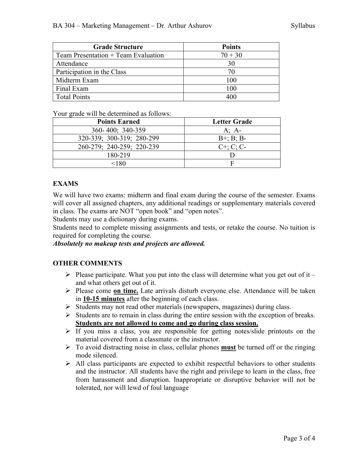| <b>Grade Structure</b>                | <b>Points</b> |
|---------------------------------------|---------------|
| Team Presentation $+$ Team Evaluation | $70 + 30$     |
| Attendance                            | 30            |
| Participation in the Class            | 70            |
| Midterm Exam                          | 100           |
| Final Exam                            | 100           |
| <b>Total Points</b>                   |               |

Your grade will be determined as follows:

| <b>Points Earned</b>      | <b>Letter Grade</b> |
|---------------------------|---------------------|
| 360-400; 340-359          | A: $A$ -            |
| 320-339; 300-319; 280-299 | $B^{+}$ ; B; B-     |
| 260-279; 240-259; 220-239 | $C^{+}$ ; C; C-     |
| 180-219                   |                     |
| 180>                      |                     |

## **EXAMS**

We will have two exams: midterm and final exam during the course of the semester. Exams will cover all assigned chapters, any additional readings or supplementary materials covered in class. The exams are NOT "open book" and "open notes".

Students may use a dictionary during exams.

Students need to complete missing assignments and tests, or retake the course. No tuition is required for completing the course.

#### *Absolutely no makeup tests and projects are allowed.*

### **OTHER COMMENTS**

- $\triangleright$  Please participate. What you put into the class will determine what you get out of it and what others get out of it.
- Ø Please come **on time.** Late arrivals disturb everyone else. Attendance will be taken in **10-15 minutes** after the beginning of each class.
- Ø Students may not read other materials (newspapers, magazines) during class.
- $\triangleright$  Students are to remain in class during the entire session with the exception of breaks. **Students are not allowed to come and go during class session.**
- $\triangleright$  If you miss a class, you are responsible for getting notes/slide printouts on the material covered from a classmate or the instructor.
- Ø To avoid distracting noise in class, cellular phones **must** be turned off or the ringing mode silenced.
- $\triangleright$  All class participants are expected to exhibit respectful behaviors to other students and the instructor. All students have the right and privilege to learn in the class, free from harassment and disruption. Inappropriate or disruptive behavior will not be tolerated, nor will lewd of foul language